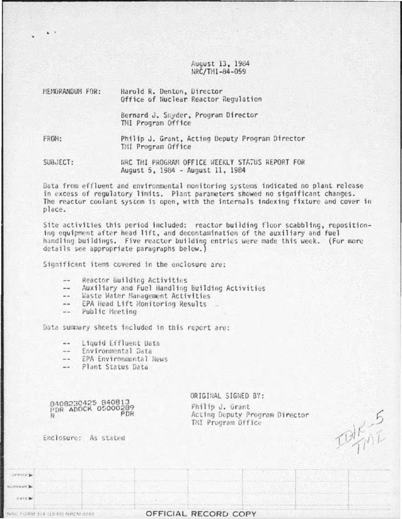August 13, 1984 NRC/THI-84-059

| MEMORANDUM FOR: | Harold R. Denton, Director<br>Office of Nuclear Reactor Regulation                  |
|-----------------|-------------------------------------------------------------------------------------|
|                 | Bernard J. Snyder, Program Director<br>TMI Program Office                           |
| FROM:           | Philip J. Grant, Acting Deputy Program Director<br><b>TMI Program Office</b>        |
| SUBJECT:        | HRC THI PROGRAM OFFICE WEEKLY STATUS REPORT FOR<br>August 5, 1984 - August 11, 1984 |

Data from effluent and environmental monitoring systems indicated no plant release in excess of regulatory limits. Plant parameters showed no significant changes. The reactor coolant system is open, with the internals indexing fixture and cover in place.

Site activities this period included: reactor building floor scabbling, repositioning equipment after head lift, and decontamination of the auxiliary and fuel handling buildings. Five reactor building entries were made this week. (For more details see appropriate paragraphs below.)

Significant items covered in the enclosure are:

- Reactor Building Activities --
- Auxiliary and Fuel Handling Building Activities  $\frac{1}{2}$
- -- Waste Water Management Activities
- EPA Head Lift Monitoring Results  $=$
- -- Public Meeting

Data summary sheets included in this report are:

- Liquid Effluent Data  $-1$
- Environmental Data  $\frac{1}{2}$
- EPA Environmental News  $-1$
- Plant Status Data  $-$

8408230425 840813 PDR ADOCK 05000289 R

ORIGINAL SIGNED BY:

Philip J. Grant Acting Deputy Program Director TMI Program Office

 $k_{0}^{3}$ 

Enclosure: As stated

orkice.) **SCINNIAME** DATE:

NEC FORM 318 (10-80) NRCM 0240

OFFICIAL RECORD COPY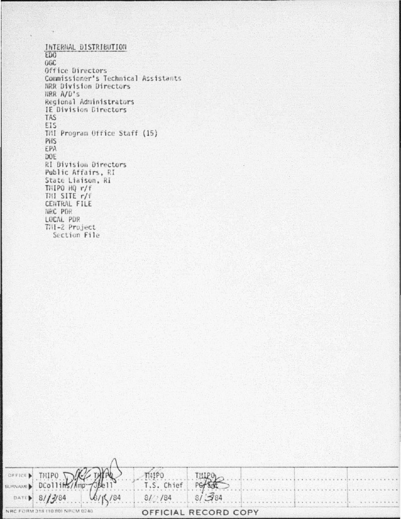INTERNAL DISTRIBUTION ED<sub>0</sub> 0GC Office Directors Commissioner's Technical Assistants NRR Division Directors NRR A/D's Regional Administrators IE Division Directors **TAS** EIS TMI Program Office Staff (15) PHS EPA DOE **RI Division Directors** Public Affairs, RI State Liaison, Ri THIPO HQ r/f THI SITE r/f CENTRAL FILE NRC PDR LOCAL PDR TMI-2 Project Section File

|                                 | SUPPORT THE THE THE THE TIMBER OF THE PERSON SUPPORT |                                     |  |  |
|---------------------------------|------------------------------------------------------|-------------------------------------|--|--|
|                                 |                                                      |                                     |  |  |
|                                 |                                                      | DATED 8/13/84 6/15/84 8/2/84 8/3/84 |  |  |
| NRC FORM 318 (10.80) NRCM 0240. |                                                      | OFFICIAL RECORD COPY                |  |  |

. .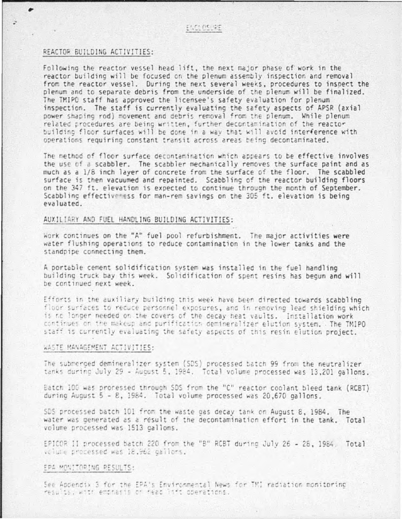#### REACTOR BUILDING ACTIVITIES:

Following the reactor vessel head lift, the next major phase of work in the reactor building will be focused on the plenum assembly inspection and removal from the reactor vessel. During the next several weeks, procedures to inspect the plenum and to separate debris from the underside of the plenum will be finalized. The TMIPO staff has approved the licensee's safety evaluation for plenum inspection. The staff is currently evaluating the safety aspects of APSR (axial power shaping rod) movement and debris removal from the plenum. While plenum related procedures are being written, further decontamination of the reactor building floor surfaces will be done in a way that will avoid interference with operations requiring constant transit across areas being decontaminated.

The method of floor surface decontamination which appears to be effective involves the use of a scabbler. The scabbler mechanically removes the surface paint and as much as a 1/8 inch layer of concrete from the surface of the floor. The scabbled surface is then vacuumed and repainted. Scabbling of the reactor building floors on the 347 ft. elevation is expected to continue through the month of September. Scabbling effectiveness for man-rem savings on the 305 ft. elevation is being evaluated.

### AUXILIARY AND FUEL HANDLING BUILDING ACTIVITIES:

Work continues on the "A" fuel pool refurbishment. The major activities were water flushing operations to reduce contamination in the lower tanks and the standpipe connecting them.

A portable cement solidification system was installed in the fuel handling building truck bay this week. Solidification of spent resins has begun and will be continued next week.

Efforts in the auxiliary building this week have been directed towards scabbling floor surfaces to reduce personnel exposures, and in removing lead shielding which is no longer needed on the covers of the decay heat vaults. Installation work continues on the makeup and purification demineralizer elution system. The TMIPO staff is currently evaluating the safety aspects of this resin elution project.

#### WASTE MANAGEMENT ACTIVITIES:

The submerged demineralizer system (SDS) processed batch 99 from the neutralizer tanks during July 29 - August 5, 1984. Total volume processed was 13,201 gallons.

Batch 100 was processed through SDS from the "C" reactor coolant bleed tank (RCBT) during August 5 - 8, 1984. Total volume processed was 20,670 gallons.

SDS processed batch 101 from the waste gas decay tank on August 8, 1984. The water was generated as a result of the decontamination effort in the tank. Total volume processed was 1513 gallons.

EPICOR II processed batch 220 from the "B" RCBT during July 26 - 28, 1984, Total volume processed was 18,962 gallons.

## EPA MONITORING RESULTS:

See Appendix 3 for the EPA's Environmental News for TM1 radiation monitoring results, with enthasis or head inft operations.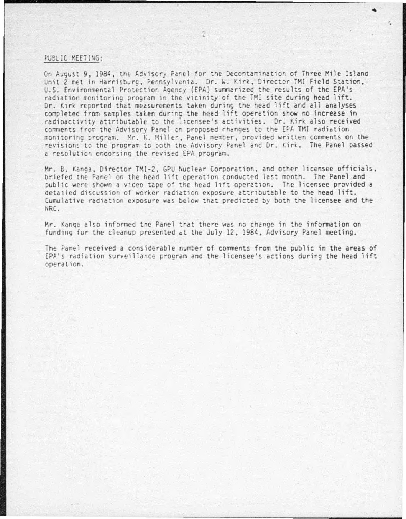#### PUBLIC MEETING:

On August 9, 1984, the Advisory Panel for the Decontamination of Three Mile Island Unit 2 met in Harrisburg, Pennsylvania. Dr. W. Kirk, Director TMI Field Station, U.S. Environmental Protection Agency (EPA) summarized the results of the EPA's radiation monitoring program in the vicinity of the TMI site during head lift. Dr. Kirk reported that measurements taken during the head lift and all analyses completed from samples taken during the head lift operation show no increase in radioactivity attributable to the licensee's activities. Dr. Kirk also received comments from the Advisory Panel on proposed changes to the EPA TMI radiation monitoring program. Mr. K. Miller, Panel member, provided written comments on the revisions to the program to both the Advisory Panel and Dr. Kirk. The Panel passed a resolution endorsing the revised EPA program.

Mr. B. Kanga, Director TM1-2, GPU Nuclear Corporation, and other licensee officials, briefed the Panel on the head lift operation conducted last month. The Panel and public were shown a video tape of the head lift operation. The licensee provided a detailed discussion of worker radiation exposure attributable to the head lift. Cumulative radiation exposure was below that predicted by both the licensee and the NRC.

Mr. Kanga also informed the Panel that there was no change in the information on funding for the cleanup presented at the July 12, 1984, Advisory Panel meeting.

The Panel received a considerable number of comments from the public in the areas of EPA's radiation surveillance program and the licensee's actions during the head lift operation.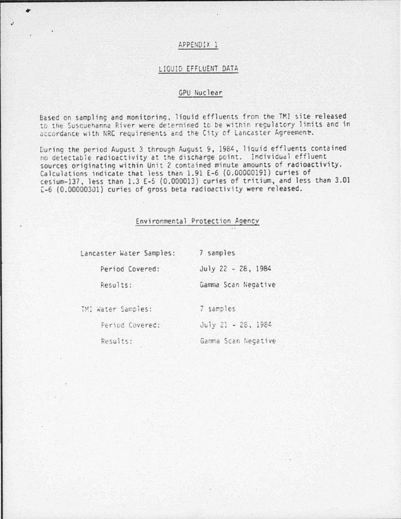## APPENDIX 1

 $\overline{\phantom{a}}$ 

#### LIQUID EFFLUENT DATA

## GPU Nuclear

Based on sampling and monitoring. liquid effluents from the TMI site released to the Susquehanna River were determined to be within reculatory limits and in accordance with NRC requirements and the City of Lancaster Agreement.

During the period August 3 through August 9, 1984, liquid effluents contained no detectable radioactivity at the discharge point. Individual effluent sources originating within Unit 2 contained minute amounts of radioactivity. Calculations indicate that less than 1.91 E-6 (0.00000191) curies of cesium-137, less than 1.3 E-5 (0.000013) curies of tritium, and less than 3.01 E-6 (0.00000301) curies of gross beta radioactivity were released.

## Environmental Protection Agency

| Lancaster Water Samples: | 7 samples           |
|--------------------------|---------------------|
| Period Covered:          | July 22 - 28, 1984  |
| Results:                 | Gamma Scan Negative |
| TMI Water Samples:       | 7 samples           |
| Period Covered:          | July 21 - 28, 1984  |
| Results:                 | Gamma Scan Negative |